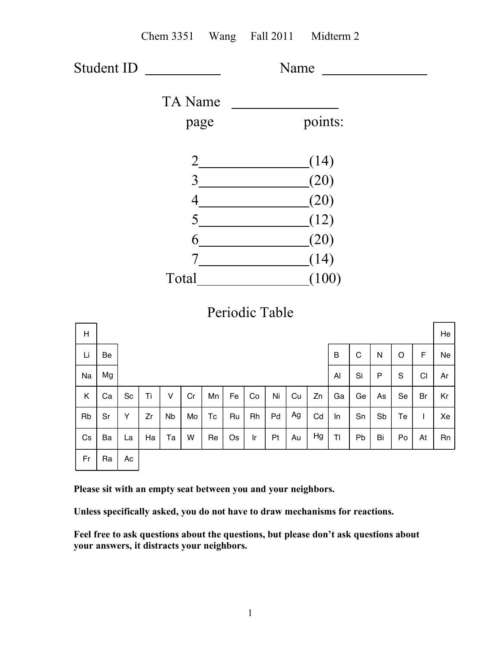|            |    |    |    |           |                |                        |    |                                                    |                 |    | Chem 3351 Wang Fall 2011 Midterm 2 |         |             |    |         |    |    |
|------------|----|----|----|-----------|----------------|------------------------|----|----------------------------------------------------|-----------------|----|------------------------------------|---------|-------------|----|---------|----|----|
| Student ID |    |    |    |           |                |                        |    |                                                    |                 |    | Name                               |         |             |    |         |    |    |
|            |    |    |    |           | <b>TA</b> Name |                        |    |                                                    |                 |    |                                    |         |             |    |         |    |    |
|            |    |    |    |           | page           |                        |    |                                                    |                 |    | points:                            |         |             |    |         |    |    |
|            |    |    |    |           |                |                        |    |                                                    |                 |    | (14)                               |         |             |    |         |    |    |
|            |    |    |    |           |                |                        |    | 3                                                  |                 |    | (20)                               |         |             |    |         |    |    |
|            |    |    |    |           |                |                        |    |                                                    |                 |    | (20)                               |         |             |    |         |    |    |
|            |    |    |    |           |                |                        |    | $5 \overline{\phantom{a} \phantom{a} \phantom{a}}$ |                 |    | (12)                               |         |             |    |         |    |    |
|            |    |    |    |           |                |                        |    | $6 \underline{\hspace{1cm}}$                       |                 |    | (20)                               |         |             |    |         |    |    |
|            |    |    |    |           |                |                        |    |                                                    |                 |    | (14)                               |         |             |    |         |    |    |
|            |    |    |    |           |                |                        |    |                                                    |                 |    | (100)                              |         |             |    |         |    |    |
|            |    |    |    |           |                |                        |    |                                                    |                 |    |                                    |         |             |    |         |    |    |
|            |    |    |    |           |                |                        |    | Periodic Table                                     |                 |    |                                    |         |             |    |         |    |    |
| H          |    |    |    |           |                |                        |    |                                                    |                 |    |                                    |         |             |    |         |    | He |
| Li         | Be |    |    |           |                |                        |    |                                                    |                 |    |                                    | $\sf B$ | $\mathbf C$ | N  | $\circ$ | F  | Ne |
| Na         | Mg |    |    |           |                |                        |    |                                                    |                 |    |                                    | Al      | Si          | P  | S       | CI | Ar |
| K.         | Ca | Sc | Ti | V         |                | $Cr$   Mn   Fe         |    | Co                                                 | Ni <sub>1</sub> | Cu | Zn                                 | Ga      | Ge          | As | Se      | Br | Kr |
| Rb         | Sr | Y  | Zr | <b>Nb</b> | Mo             | $\mathop{\mathsf{TC}}$ | Ru | Rh                                                 | Pd              | Ag | Cd                                 | In      | Sn          | Sb | Te      | L  | Xe |
| Cs         | Ba | La | Ha | Ta        | W              | Re                     | Os | Ir.                                                | Pt              | Au | Hg                                 | TI      | Pb          | Bi | Po      | At | Rn |
| Fr         | Ra | Ac |    |           |                |                        |    |                                                    |                 |    |                                    |         |             |    |         |    |    |

**Please sit with an empty seat between you and your neighbors.**

**Unless specifically asked, you do not have to draw mechanisms for reactions.**

**Feel free to ask questions about the questions, but please don't ask questions about your answers, it distracts your neighbors.**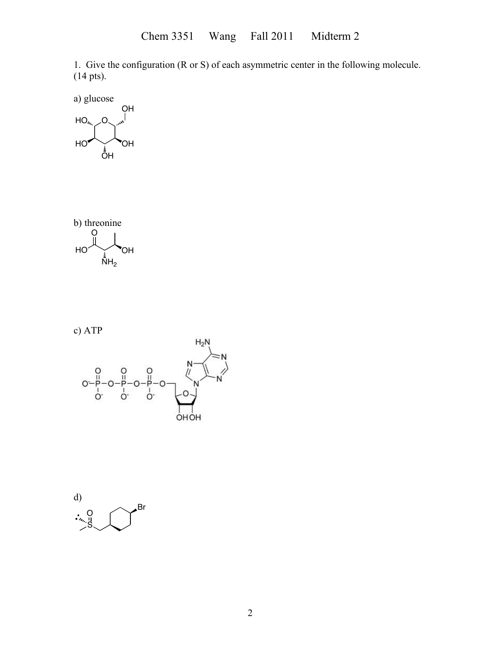1. Give the configuration (R or S) of each asymmetric center in the following molecule. (14 pts).

a) glucose  $HO<sub>6</sub>$  $\overline{\overline{O}}$ H  $HO^{\prime}$  OH OH<br>|

b) the  
onine  
 
$$
\begin{array}{c}\n\bigcup_{i=1}^{n} \\
\bigcup_{i=1}^{n} \\
\bigcup_{i=1}^{n} \\
\bigcup_{i=1}^{n} \\
\bigcup_{i=1}^{n} \\
\bigcup_{i=1}^{n} \\
\bigcup_{i=1}^{n} \\
\bigcup_{i=1}^{n} \\
\bigcup_{i=1}^{n} \\
\bigcup_{i=1}^{n} \\
\bigcup_{i=1}^{n} \\
\bigcup_{i=1}^{n} \\
\bigcup_{i=1}^{n} \\
\bigcup_{i=1}^{n} \\
\bigcup_{i=1}^{n} \\
\bigcup_{i=1}^{n} \\
\bigcup_{i=1}^{n} \\
\bigcup_{i=1}^{n} \\
\bigcup_{i=1}^{n} \\
\bigcup_{i=1}^{n} \\
\bigcup_{i=1}^{n} \\
\bigcup_{i=1}^{n} \\
\bigcup_{i=1}^{n} \\
\bigcup_{i=1}^{n} \\
\bigcup_{i=1}^{n} \\
\bigcup_{i=1}^{n} \\
\bigcup_{i=1}^{n} \\
\bigcup_{i=1}^{n} \\
\bigcup_{i=1}^{n} \\
\bigcup_{i=1}^{n} \\
\bigcup_{i=1}^{n} \\
\bigcup_{i=1}^{n} \\
\bigcup_{i=1}^{n} \\
\bigcup_{i=1}^{n} \\
\bigcup_{i=1}^{n} \\
\bigcup_{i=1}^{n} \\
\bigcup_{i=1}^{n} \\
\bigcup_{i=1}^{n} \\
\bigcup_{i=1}^{n} \\
\bigcup_{i=1}^{n} \\
\bigcup_{i=1}^{n} \\
\bigcup_{i=1}^{n} \\
\bigcup_{i=1}^{n} \\
\bigcup_{i=1}^{n} \\
\bigcup_{i=1}^{n} \\
\bigcup_{i=1}^{n} \\
\bigcup_{i=1}^{n} \\
\bigcup_{i=1}^{n} \\
\bigcup_{i=1}^{n} \\
\bigcup_{i=1}^{n} \\
\bigcup_{i=1}^{n} \\
\bigcup_{i=1}^{n} \\
\bigcup_{i=1}^{n} \\
\bigcup_{i=1}^{n} \\
\bigcup_{i=1}^{n} \\
\bigcup_{i=1}^{n} \\
\bigcup_{i=1}^{n} \\
\bigcup_{i=1}^{n} \\
\bigcup_{i=1}^{n} \\
\bigcup_{i=1}^{n} \\
\bigcup_{i=1}^{n} \\
\bigcup_{i=1}^{n}
$$

c) ATP



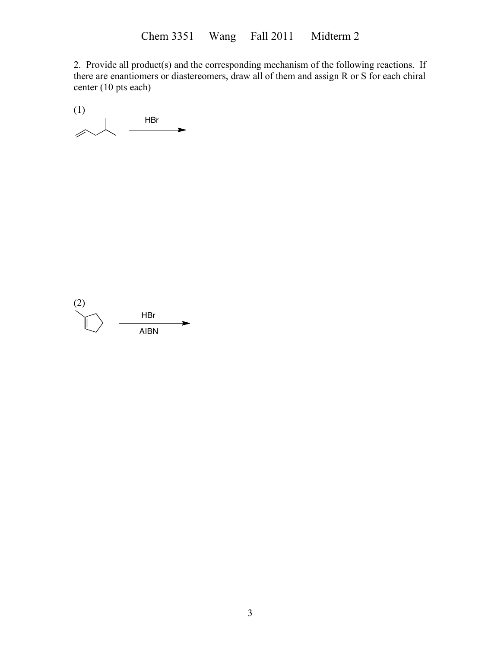2. Provide all product(s) and the corresponding mechanism of the following reactions. If there are enantiomers or diastereomers, draw all of them and assign R or S for each chiral center (10 pts each)

(1) HBr  $\blacktriangleright$ 4

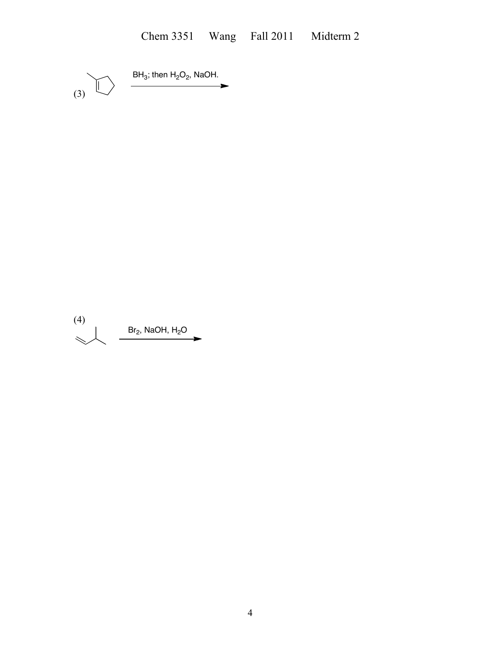(3)  $\sqrt{ }$ BH<sub>3</sub>; then H<sub>2</sub>O<sub>2</sub>, NaOH.

(4)  $Br_2$ , NaOH, H<sub>2</sub>O  $\prec$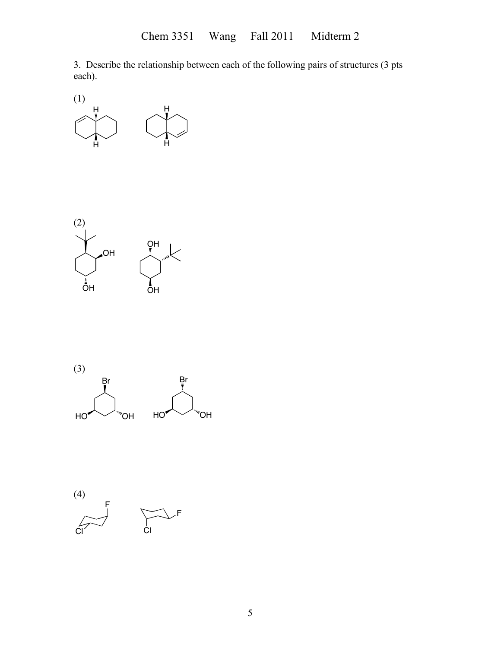3. Describe the relationship between each of the following pairs of structures (3 pts each).







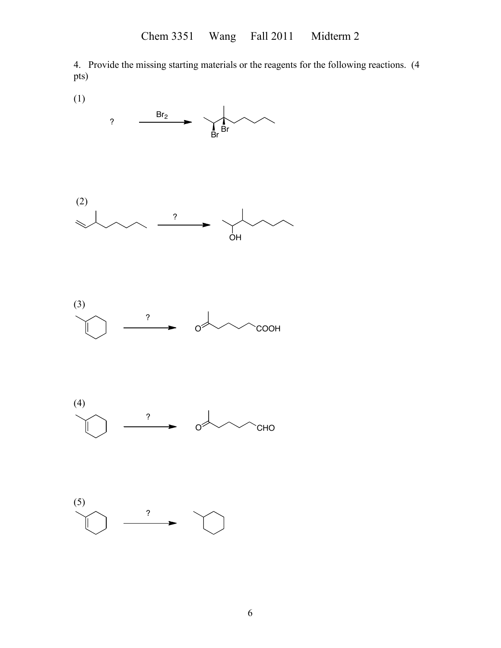4. Provide the missing starting materials or the reagents for the following reactions. (4 pts)